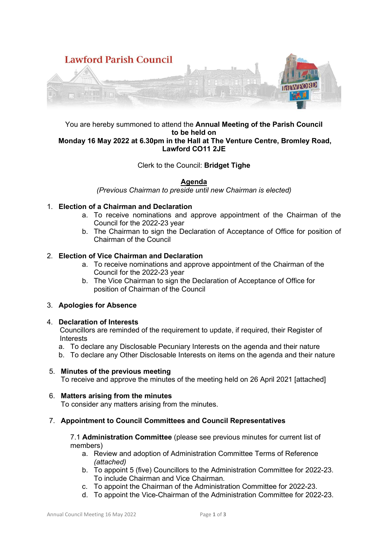

### You are hereby summoned to attend the **Annual Meeting of the Parish Council to be held on Monday 16 May 2022 at 6.30pm in the Hall at The Venture Centre, Bromley Road, Lawford CO11 2JE**

# Clerk to the Council: **Bridget Tighe**

### **Agenda**

*(Previous Chairman to preside until new Chairman is elected)* 

### 1. **Election of a Chairman and Declaration**

- a. To receive nominations and approve appointment of the Chairman of the Council for the 2022-23 year
- b. The Chairman to sign the Declaration of Acceptance of Office for position of Chairman of the Council

### 2. **Election of Vice Chairman and Declaration**

- a. To receive nominations and approve appointment of the Chairman of the Council for the 2022-23 year
- b. The Vice Chairman to sign the Declaration of Acceptance of Office for position of Chairman of the Council

### 3. **Apologies for Absence**

### 4. **Declaration of Interests**

Councillors are reminded of the requirement to update, if required, their Register of **Interests** 

- a. To declare any Disclosable Pecuniary Interests on the agenda and their nature
- b. To declare any Other Disclosable Interests on items on the agenda and their nature

### 5. **Minutes of the previous meeting**

To receive and approve the minutes of the meeting held on 26 April 2021 [attached]

### 6. **Matters arising from the minutes**

To consider any matters arising from the minutes.

### 7. **Appointment to Council Committees and Council Representatives**

7.1 **Administration Committee** (please see previous minutes for current list of members)

- a. Review and adoption of Administration Committee Terms of Reference *(attached)*
- b. To appoint 5 (five) Councillors to the Administration Committee for 2022-23. To include Chairman and Vice Chairman.
- c. To appoint the Chairman of the Administration Committee for 2022-23.
- d. To appoint the Vice-Chairman of the Administration Committee for 2022-23.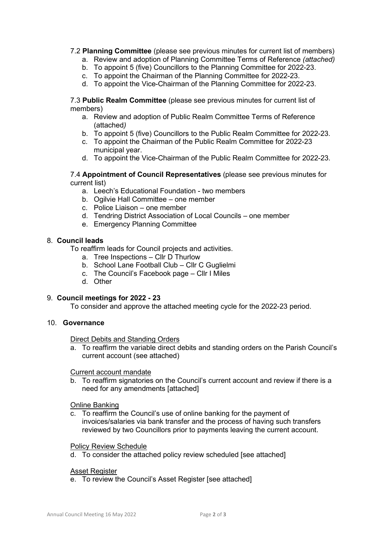### 7.2 **Planning Committee** (please see previous minutes for current list of members)

- a. Review and adoption of Planning Committee Terms of Reference *(attached)*
- b. To appoint 5 (five) Councillors to the Planning Committee for 2022-23.
- c. To appoint the Chairman of the Planning Committee for 2022-23.
- d. To appoint the Vice-Chairman of the Planning Committee for 2022-23.

7.3 **Public Realm Committee** (please see previous minutes for current list of members)

- a. Review and adoption of Public Realm Committee Terms of Reference (attached*)*
- b. To appoint 5 (five) Councillors to the Public Realm Committee for 2022-23.
- c. To appoint the Chairman of the Public Realm Committee for 2022-23 municipal year.
- d. To appoint the Vice-Chairman of the Public Realm Committee for 2022-23.

7.4 **Appointment of Council Representatives** (please see previous minutes for current list)

- a. Leech's Educational Foundation two members
- b. Ogilvie Hall Committee one member
- c. Police Liaison one member
- d. Tendring District Association of Local Councils one member
- e. Emergency Planning Committee

### 8. **Council leads**

To reaffirm leads for Council projects and activities.

- a. Tree Inspections Cllr D Thurlow
- b. School Lane Football Club Cllr C Guglielmi
- c. The Council's Facebook page Cllr I Miles
- d. Other

### 9. **Council meetings for 2022 - 23**

To consider and approve the attached meeting cycle for the 2022-23 period.

### 10. **Governance**

Direct Debits and Standing Orders

a. To reaffirm the variable direct debits and standing orders on the Parish Council's current account (see attached)

#### Current account mandate

b. To reaffirm signatories on the Council's current account and review if there is a need for any amendments [attached]

### Online Banking

c. To reaffirm the Council's use of online banking for the payment of invoices/salaries via bank transfer and the process of having such transfers reviewed by two Councillors prior to payments leaving the current account.

### Policy Review Schedule

d. To consider the attached policy review scheduled [see attached]

# Asset Register

e. To review the Council's Asset Register [see attached]